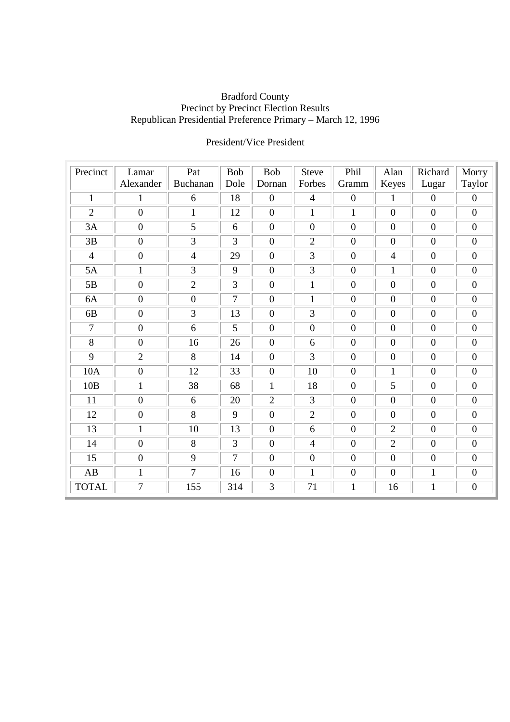#### Bradford County Precinct by Precinct Election Results Republican Presidential Preference Primary – March 12, 1996

| Precinct       | Lamar            | Pat              | <b>Bob</b>     | <b>Bob</b>       | <b>Steve</b>     | Phil             | Alan             | Richard          | Morry            |
|----------------|------------------|------------------|----------------|------------------|------------------|------------------|------------------|------------------|------------------|
|                | Alexander        | Buchanan         | Dole           | Dornan           | Forbes           | Gramm            | Keyes            | Lugar            | Taylor           |
| $\mathbf{1}$   | $\mathbf{1}$     | 6                | 18             | $\boldsymbol{0}$ | $\overline{4}$   | $\boldsymbol{0}$ | $\mathbf{1}$     | $\boldsymbol{0}$ | $\boldsymbol{0}$ |
| $\overline{2}$ | $\overline{0}$   | $\mathbf{1}$     | 12             | $\boldsymbol{0}$ | $\mathbf{1}$     | $\mathbf{1}$     | $\boldsymbol{0}$ | $\mathbf{0}$     | $\overline{0}$   |
| 3A             | $\boldsymbol{0}$ | 5                | 6              | $\boldsymbol{0}$ | $\mathbf{0}$     | $\mathbf{0}$     | $\mathbf{0}$     | $\mathbf{0}$     | $\boldsymbol{0}$ |
| 3B             | $\boldsymbol{0}$ | 3                | 3              | $\mathbf{0}$     | $\overline{2}$   | $\mathbf{0}$     | $\mathbf{0}$     | $\mathbf{0}$     | $\overline{0}$   |
| $\overline{4}$ | $\boldsymbol{0}$ | $\overline{4}$   | 29             | $\boldsymbol{0}$ | 3                | $\boldsymbol{0}$ | $\overline{4}$   | $\mathbf{0}$     | $\overline{0}$   |
| 5A             | $\mathbf{1}$     | 3                | 9              | $\boldsymbol{0}$ | 3                | $\boldsymbol{0}$ | $\mathbf{1}$     | $\mathbf{0}$     | $\boldsymbol{0}$ |
| 5B             | $\boldsymbol{0}$ | $\overline{2}$   | 3              | $\boldsymbol{0}$ | 1                | $\boldsymbol{0}$ | $\boldsymbol{0}$ | $\boldsymbol{0}$ | $\boldsymbol{0}$ |
| 6A             | $\boldsymbol{0}$ | $\boldsymbol{0}$ | $\tau$         | $\boldsymbol{0}$ | $\mathbf{1}$     | $\mathbf{0}$     | $\boldsymbol{0}$ | $\mathbf{0}$     | $\overline{0}$   |
| 6 <sub>B</sub> | $\boldsymbol{0}$ | 3                | 13             | $\boldsymbol{0}$ | 3                | $\boldsymbol{0}$ | $\boldsymbol{0}$ | $\boldsymbol{0}$ | $\overline{0}$   |
| $\tau$         | $\boldsymbol{0}$ | 6                | 5              | $\boldsymbol{0}$ | $\boldsymbol{0}$ | $\boldsymbol{0}$ | $\boldsymbol{0}$ | $\boldsymbol{0}$ | $\overline{0}$   |
| 8              | $\mathbf{0}$     | 16               | 26             | $\overline{0}$   | 6                | $\overline{0}$   | $\boldsymbol{0}$ | $\overline{0}$   | $\boldsymbol{0}$ |
| 9              | $\overline{2}$   | 8                | 14             | $\boldsymbol{0}$ | 3                | $\mathbf{0}$     | $\boldsymbol{0}$ | $\mathbf{0}$     | $\overline{0}$   |
| 10A            | $\mathbf{0}$     | 12               | 33             | $\boldsymbol{0}$ | 10               | $\mathbf{0}$     | 1                | $\boldsymbol{0}$ | $\boldsymbol{0}$ |
| 10B            | $\mathbf{1}$     | 38               | 68             | $\mathbf{1}$     | 18               | $\mathbf{0}$     | 5                | $\boldsymbol{0}$ | $\overline{0}$   |
| 11             | $\mathbf{0}$     | 6                | 20             | $\overline{2}$   | 3                | $\mathbf{0}$     | $\boldsymbol{0}$ | $\boldsymbol{0}$ | $\boldsymbol{0}$ |
| 12             | $\mathbf{0}$     | 8                | 9              | $\boldsymbol{0}$ | $\overline{2}$   | $\mathbf{0}$     | $\overline{0}$   | $\mathbf{0}$     | $\boldsymbol{0}$ |
| 13             | $\mathbf{1}$     | 10               | 13             | $\boldsymbol{0}$ | 6                | $\overline{0}$   | $\overline{2}$   | $\boldsymbol{0}$ | $\overline{0}$   |
| 14             | $\boldsymbol{0}$ | 8                | 3              | $\boldsymbol{0}$ | $\overline{4}$   | $\mathbf{0}$     | $\overline{2}$   | $\boldsymbol{0}$ | $\overline{0}$   |
| 15             | $\boldsymbol{0}$ | 9                | $\overline{7}$ | $\boldsymbol{0}$ | $\boldsymbol{0}$ | $\overline{0}$   | $\boldsymbol{0}$ | $\mathbf{0}$     | $\boldsymbol{0}$ |
| AB             | $\mathbf{1}$     | $\overline{7}$   | 16             | $\boldsymbol{0}$ | $\mathbf{1}$     | $\boldsymbol{0}$ | $\boldsymbol{0}$ | $\mathbf{1}$     | $\boldsymbol{0}$ |
| <b>TOTAL</b>   | $\overline{7}$   | 155              | 314            | 3                | 71               | $\mathbf{1}$     | 16               | $\mathbf{1}$     | $\boldsymbol{0}$ |

# President/Vice President